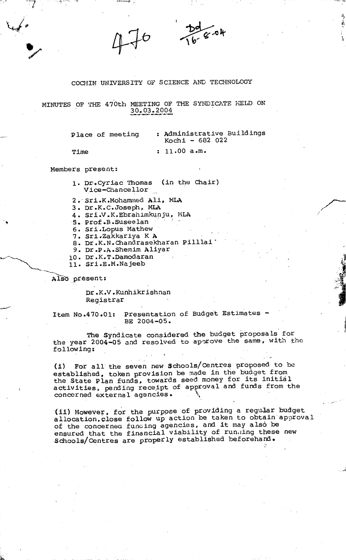COCHIN UNIVERSITY OF SCIENCE AND TECHNOLOGY

MINUTES OF THE 470th MEETING OF THE SYNDICATE HELD ON 30\*03.2004

Place of meeting

: 11.00 a.m.

 $Kochi - 682022$ 

: Administrative Buildings

 $\overline{a}$  and  $\overline{b}$  and  $\overline{b}$ 

\

X\*

Members present:

Time

■ -

 $\bullet$ 

1. Dr.Cyriac Thomas (in the Chair) Vice-Chancellor

2. Sri.K.Mohammed Ali, MLA

3. Dr.K.C.Joseph, MLA

4. Sri.V.K.Ebrahimkunju, MLA

5\* prof.B.SuseeIan

6. Sri.Lopus Mathew

7. Sri .Zakkariya KA

8. Dr.K.N.Chandrasekharan Pilllai\*

- 9. Dr.P.A.Shemim Aliyar
- 10. Dr.K.T.Damodaran
- 11. Sri.E.M.Najeeb

Also present:

Dr.K.V.Kunhikrishnan Registrar

Item No.470.01: Presentation of Budget Estimates - BE 2004-05.

The Syndicate considered the budget proposals for the year 2004-05 and resolved to aporove the same, with the following:

(i) For all the seven new Schools/Centres proposed to be established, token provision be made in the budget from the State Plan funds, towards seed money for its initial activities, pending receipt of approval and funds from the concerned external agencies. \

(ii) However, for the purpose of providing a regular budget allocation, close follow up action be taken to obtain approval of the concernea funoing agencies, and it may also be ensured that the financial viability of running these new Schools/Centres are properly established beforehand.